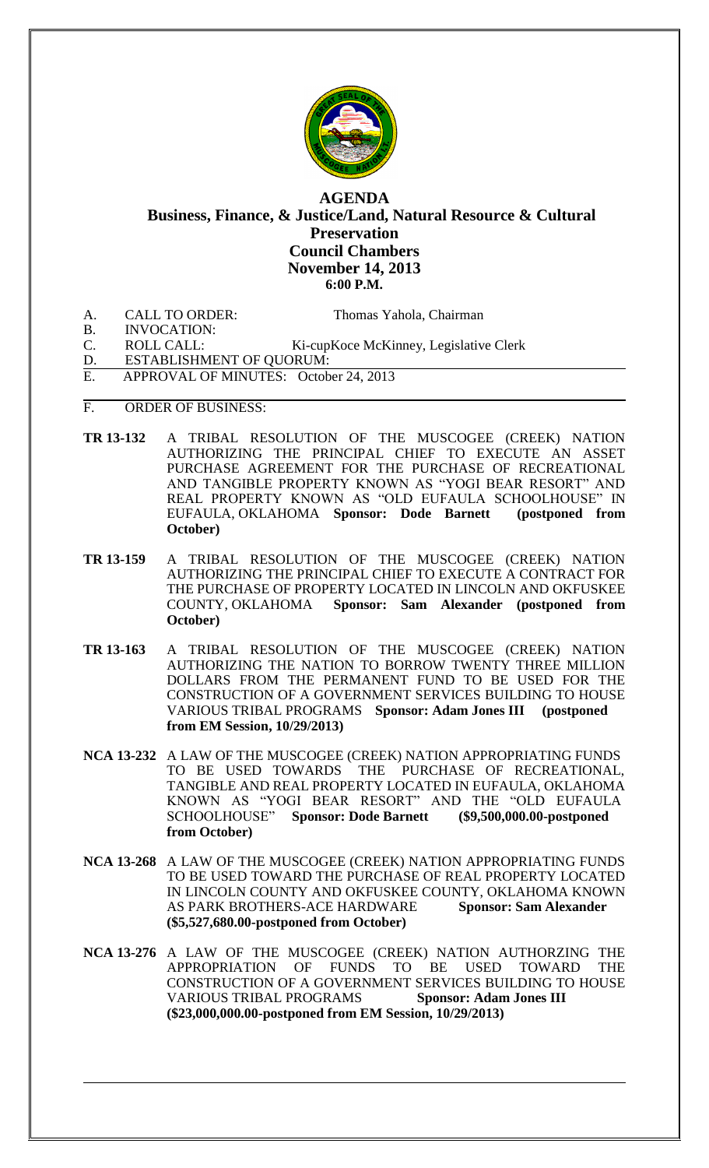

## **AGENDA Business, Finance, & Justice/Land, Natural Resource & Cultural Preservation Council Chambers November 14, 2013 6:00 P.M.**

A. CALL TO ORDER: Thomas Yahola, Chairman

B. INVOCATION:

- C. ROLL CALL: Ki-cupKoce McKinney, Legislative Clerk D. ESTABLISHMENT OF QUORUM:
- E. APPROVAL OF MINUTES: October 24, 2013
- F. ORDER OF BUSINESS:
- **TR 13-132** A TRIBAL RESOLUTION OF THE MUSCOGEE (CREEK) NATION AUTHORIZING THE PRINCIPAL CHIEF TO EXECUTE AN ASSET PURCHASE AGREEMENT FOR THE PURCHASE OF RECREATIONAL AND TANGIBLE PROPERTY KNOWN AS "YOGI BEAR RESORT" AND REAL PROPERTY KNOWN AS "OLD EUFAULA SCHOOLHOUSE" IN EUFAULA, OKLAHOMA **Sponsor: Dode Barnett (postponed from October)**
- **TR 13-159** A TRIBAL RESOLUTION OF THE MUSCOGEE (CREEK) NATION AUTHORIZING THE PRINCIPAL CHIEF TO EXECUTE A CONTRACT FOR THE PURCHASE OF PROPERTY LOCATED IN LINCOLN AND OKFUSKEE COUNTY, OKLAHOMA **Sponsor: Sam Alexander (postponed from October)**
- **TR 13-163** A TRIBAL RESOLUTION OF THE MUSCOGEE (CREEK) NATION AUTHORIZING THE NATION TO BORROW TWENTY THREE MILLION DOLLARS FROM THE PERMANENT FUND TO BE USED FOR THE CONSTRUCTION OF A GOVERNMENT SERVICES BUILDING TO HOUSE VARIOUS TRIBAL PROGRAMS **Sponsor: Adam Jones III (postponed from EM Session, 10/29/2013)**
- **NCA 13-232** A LAW OF THE MUSCOGEE (CREEK) NATION APPROPRIATING FUNDS TO BE USED TOWARDS THE PURCHASE OF RECREATIONAL, TANGIBLE AND REAL PROPERTY LOCATED IN EUFAULA, OKLAHOMA KNOWN AS "YOGI BEAR RESORT" AND THE "OLD EUFAULA SCHOOLHOUSE" **Sponsor: Dode Barnett (\$9,500,000.00-postponed from October)**
- **NCA 13-268** A LAW OF THE MUSCOGEE (CREEK) NATION APPROPRIATING FUNDS TO BE USED TOWARD THE PURCHASE OF REAL PROPERTY LOCATED IN LINCOLN COUNTY AND OKFUSKEE COUNTY, OKLAHOMA KNOWN AS PARK BROTHERS-ACE HARDWARE **Sponsor: Sam Alexander (\$5,527,680.00-postponed from October)**
- **NCA 13-276** A LAW OF THE MUSCOGEE (CREEK) NATION AUTHORZING THE APPROPRIATION OF FUNDS TO BE USED TOWARD THE CONSTRUCTION OF A GOVERNMENT SERVICES BUILDING TO HOUSE VARIOUS TRIBAL PROGRAMS **Sponsor: Adam Jones III (\$23,000,000.00-postponed from EM Session, 10/29/2013)**